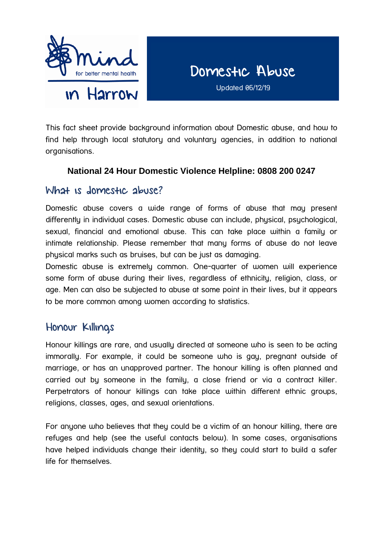

Updated 06/12/19

This fact sheet provide background information about Domestic abuse, and how to find help through local statutory and voluntary agencies, in addition to national organisations.

## **National 24 Hour Domestic Violence Helpline: 0808 200 0247**

## What is domestic abuse?

Domestic abuse covers a wide range of forms of abuse that may present differently in individual cases. Domestic abuse can include, physical, psychological, sexual, financial and emotional abuse. This can take place within a family or intimate relationship. Please remember that many forms of abuse do not leave physical marks such as bruises, but can be just as damaging.

Domestic abuse is extremely common. One-quarter of women will experience some form of abuse during their lives, regardless of ethnicity, religion, class, or age. Men can also be subjected to abuse at some point in their lives, but it appears to be more common among women according to statistics.

## Honour Killings

Honour killings are rare, and usually directed at someone who is seen to be acting immorally. For example, it could be someone who is gay, pregnant outside of marriage, or has an unapproved partner. The honour killing is often planned and carried out by someone in the family, a close friend or via a contract killer. Perpetrators of honour killings can take place within different ethnic groups, religions, classes, ages, and sexual orientations.

For anuone who believes that they could be a victim of an honour killing, there are refuges and help (see the useful contacts below). In some cases, organisations have helped individuals change their identity, so they could start to build a safer life for themselves.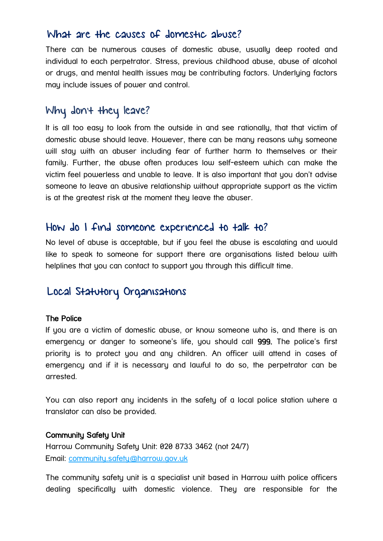## What are the causes of domestic abuse?

There can be numerous causes of domestic abuse, usually deep rooted and individual to each perpetrator. Stress, previous childhood abuse, abuse of alcohol or drugs, and mental health issues may be contributing factors. Underlying factors may include issues of power and control.

# Why don't they leave?

It is all too easy to look from the outside in and see rationally, that that victim of domestic abuse should leave. However, there can be many reasons why someone will stay with an abuser including fear of further harm to themselves or their family. Further, the abuse often produces low self-esteem which can make the victim feel powerless and unable to leave. It is also important that you don't advise someone to leave an abusive relationship without appropriate support as the victim is at the greatest risk at the moment they leave the abuser.

## How do I find someone experienced to talk to?

No level of abuse is acceptable, but if you feel the abuse is escalating and would like to speak to someone for support there are organisations listed below with helplines that you can contact to support you through this difficult time.

# Local Statutory Organisations

## The Police

If you are a victim of domestic abuse, or know someone who is, and there is an emergency or danger to someone's life, you should call 999. The police's first priority is to protect you and any children. An officer will attend in cases of emergency and if it is necessary and lawful to do so, the perpetrator can be arrested.

You can also report any incidents in the safety of a local police station where a translator can also be provided.

#### Community Safety Unit

Harrow Community Safety Unit: 020 8733 3462 (not 24/7) Email: [community.safety@harrow.gov.uk](mailto:community.safety@harrow.gov.uk)

The community safety unit is a specialist unit based in Harrow with police officers dealing specifically with domestic violence. They are responsible for the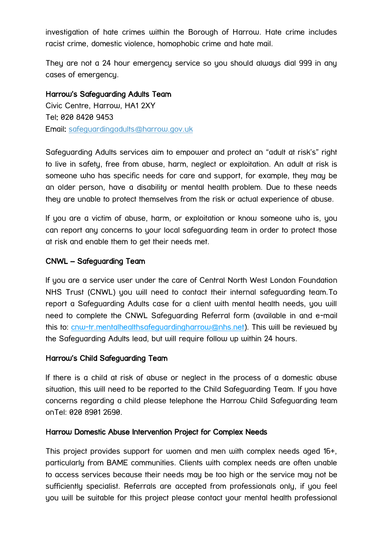investigation of hate crimes within the Borough of Harrow. Hate crime includes racist crime, domestic violence, homophobic crime and hate mail.

They are not a 24 hour emergency service so you should always dial 999 in any cases of emergency.

#### Harrow's Safeguarding Adults Team

Civic Centre, Harrow, HA1 2XY Tel: 020 8420 9453 Email: [safeguardingadults@harrow.gov.uk](mailto:safeguardingadults@harrow.gov.uk) 

Safeguarding Adults services aim to empower and protect an "adult at risk's" right to live in safety, free from abuse, harm, neglect or exploitation. An adult at risk is someone who has specific needs for care and support, for example, they may be an older person, have a disability or mental health problem. Due to these needs they are unable to protect themselves from the risk or actual experience of abuse.

If you are a victim of abuse, harm, or exploitation or know someone who is, you can report any concerns to your local safeguarding team in order to protect those at risk and enable them to get their needs met.

#### CNWL – Safeguarding Team

If you are a service user under the care of Central North West London Foundation NHS Trust (CNWL) you will need to contact their internal safeguarding team.To report a Safeguarding Adults case for a client with mental health needs, you will need to complete the CNWL Safeguarding Referral form (available in and e-mail this to: [cnw-tr.mentalhealthsafeguardingharrow@nhs.net\)](mailto:cnw-tr.mentalhealthsafeguardingharrow@nhs.net). This will be reviewed by the Safeguarding Adults lead, but will require follow up within 24 hours.

## Harrow's Child Safeguarding Team

If there is a child at risk of abuse or neglect in the process of a domestic abuse situation, this will need to be reported to the Child Safeguarding Team. If you have concerns regarding a child please telephone the Harrow Child Safeguarding team onTel: 020 8901 2690.

#### Harrow Domestic Abuse Intervention Project for Complex Needs

This project provides support for women and men with complex needs aged 16+, particularly from BAME communities. Clients with complex needs are often unable to access services because their needs may be too high or the service may not be sufficiently specialist. Referrals are accepted from professionals only, if you feel you will be suitable for this project please contact your mental health professional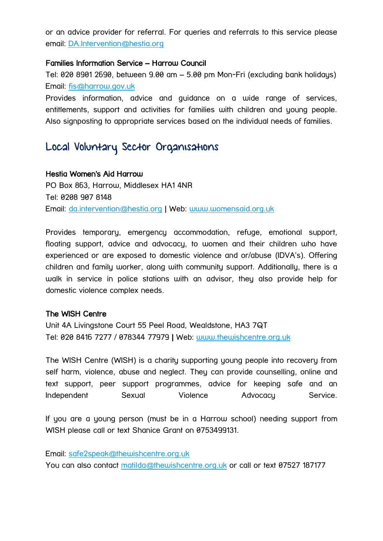or an advice provider for referral. For queries and referrals to this service please email: [DA.Intervention@hestia.org](mailto:DA.Intervention@hestia.org)

#### Families Information Service – Harrow Council

Tel: 020 8901 2690, between 9.00 am – 5.00 pm Mon-Fri (excluding bank holidays) Email: [fis@harrow.gov.uk](mailto:fis@harrow.gov.uk)

Provides information, advice and guidance on a wide range of services, entitlements, support and activities for families with children and young people. Also signposting to appropriate services based on the individual needs of families.

# Local Voluntary Sector Organisations

#### Hestia Women's Aid Harrow

PO Box 863, Harrow, Middlesex HA1 4NR Tel: 0208 907 8148 Email: [da.intervention@hestia.org](mailto:da.intervention@hestia.org) | Web: [www.womensaid.org.uk](http://www.womensaid.org.uk/)

Provides temporary, emergency accommodation, refuge, emotional support, floating support, advice and advocacy, to women and their children who have experienced or are exposed to domestic violence and or/abuse (IDVA's). Offering children and family worker, along with community support. Additionally, there is a walk in service in police stations with an advisor, they also provide help for domestic violence complex needs.

#### The WISH Centre

Unit 4A Livingstone Court 55 Peel Road, Wealdstone, HA3 7QT Tel: 020 8416 7277 / 078344 77979 | Web: [www.thewishcentre.org.uk](http://www.thewishcentre.org.uk/)

The WISH Centre (WISH) is a charity supporting young people into recovery from self harm, violence, abuse and neglect. They can provide counselling, online and text support, peer support programmes, advice for keeping safe and an Independent Sexual Violence Advocacy Service.

If you are a young person (must be in a Harrow school) needing support from WISH please call or text Shanice Grant on 0753499131.

Email: [safe2speak@thewishcentre.org.uk](mailto:safe2speak@thewishcentre.org.uk)

You can also contact [matilda@thewishcentre.org.uk](mailto:matilda@thewishcentre.org.uk) or call or text 07527 187177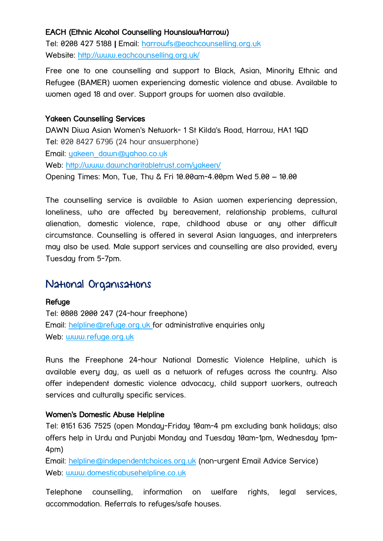## EACH (Ethnic Alcohol Counselling Hounslow/Harrow)

Tel: [0208 427 5188](tel:0208%20427%205188) | Email: [harrowfs@eachcounselling.org.uk](mailto:harrowfs@eachcounselling.org.uk) Website:<http://www.eachcounselling.org.uk/>

Free one to one counselling and support to Black, Asian, Minority Ethnic and Refugee (BAMER) women experiencing domestic violence and abuse. Available to women aged 18 and over. Support groups for women also available.

## Yakeen Counselling Services

DAWN Diwa Asian Women's Network- 1 St Kilda's Road, Harrow, HA1 1QD Tel: 020 8427 6796 (24 hour answerphone) Email: [yakeen\\_dawn@yahoo.co.uk](mailto:yakeen_dawn@yahoo.co.uk) Web:<http://www.dawncharitabletrust.com/yakeen/> Opening Times: Mon, Tue, Thu & Fri 10.00am-4.00pm Wed 5.00 – 10.00

The counselling service is available to Asian women experiencing depression, loneliness, who are affected by bereavement, relationship problems, cultural alienation, domestic violence, rape, childhood abuse or any other difficult circumstance. Counselling is offered in several Asian languages, and interpreters may also be used. Male support services and counselling are also provided, every Tuesday from 5-7pm.

## National Organisations

**Refuge** Tel: 0808 2000 247 (24-hour freephone) Email: [helpline@refuge.org.uk f](mailto:helpline@refuge.org.uk)or administrative enquiries only Web: [www.refuge.org.uk](http://www.refuge.org.uk/) 

Runs the Freephone 24-hour National Domestic Violence Helpline, which is available every day, as well as a network of refuges across the country. Also offer independent domestic violence advocacy, child support workers, outreach services and culturally specific services.

## Women's Domestic Abuse Helpline

Tel: 0161 636 7525 (open Monday-Friday 10am-4 pm excluding bank holidays; also offers help in Urdu and Punjabi Monday and Tuesday 10am-1pm, Wednesday 1pm-4pm)

Email: [helpline@independentchoices.org.uk](mailto:helpline@independentchoices.org.uk) (non-urgent Email Advice Service) Web: www.domesticabusehelpline.co.uk

Telephone counselling, information on welfare rights, legal services, accommodation. Referrals to refuges/safe houses.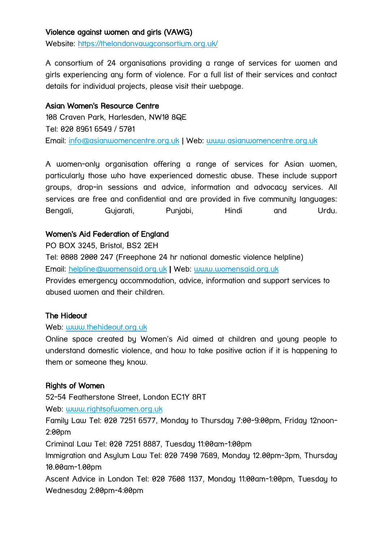## Violence against women and girls (VAWG)

Website:<https://thelondonvawgconsortium.org.uk/>

A consortium of 24 organisations providing a range of services for women and girls experiencing any form of violence. For a full list of their services and contact details for individual projects, please visit their webpage.

## Asian Women's Resource Centre

108 Craven Park, Harlesden, NW10 8QE Tel: 020 8961 6549 / 5701 Email: [info@asianwomencentre.org.uk](mailto:info@asianwomencentre.org.uk) | Web: [www.asianwomencentre.org.uk](http://www.asianwomencentre.org.uk/)

A women-only organisation offering a range of services for Asian women, particularly those who have experienced domestic abuse. These include support groups, drop-in sessions and advice, information and advocacy services. All services are free and confidential and are provided in five community languages: Bengali, Gujarati, Punjabi, Hindi and Urdu.

## Women's Aid Federation of England

PO BOX 3245, Bristol, BS2 2EH

Tel: 0808 2000 247 (Freephone 24 hr national domestic violence helpline) Email: [helpline@womensaid.org.uk](mailto:helpline@womensaid.org.uk) | Web: [www.womensaid.org.uk](http://www.womensaid.org.uk/) Provides emergency accommodation, advice, information and support services to abused women and their children.

#### The Hideout

#### Web: [www.thehideout.org.uk](http://www.thehideout.org.uk/)

Online space created by Women's Aid aimed at children and young people to understand domestic violence, and how to take positive action if it is happening to them or someone they know.

## Rights of Women

52-54 Featherstone Street, London EC1Y 8RT

Web: [www.rightsofwomen.org.uk](http://www.rightsofwomen.org.uk/)

Family Law Tel: 020 7251 6577, Monday to Thursday 7:00-9:00pm, Friday 12noon-2:00pm

Criminal Law Tel: 020 7251 8887, Tuesday 11:00am-1:00pm

Immigration and Asylum Law Tel: 020 7490 7689, Monday 12.00pm-3pm, Thursday 10.00am-1.00pm

Ascent Advice in London Tel: 020 7608 1137, Monday 11:00am-1:00pm, Tuesday to Wednesday 2:00pm-4:00pm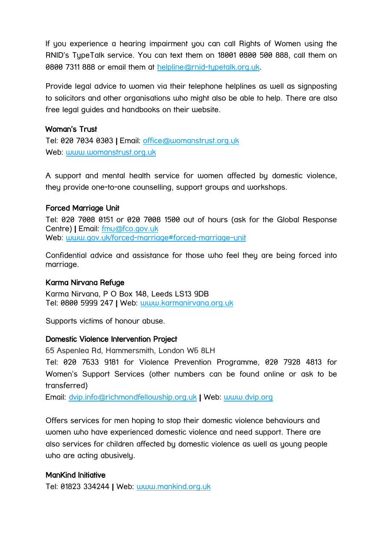If you experience a hearing impairment you can call Rights of Women using the RNID's TypeTalk service. You can text them on 18001 0800 500 888, call them on 0800 7311 888 or email them at [helpline@rnid-typetalk.org.uk.](mailto:helpline@rnid-typetalk.org.uk)

Provide legal advice to women via their telephone helplines as well as signposting to solicitors and other organisations who might also be able to help. There are also free legal guides and handbooks on their website.

## Woman's Trust

Tel: 020 7034 0303 | Email: [office@womanstrust.org.uk](mailto:office@womanstrust.org.uk) Web: [www.womanstrust.org.uk](http://www.womanstrust.org.uk/)

A support and mental health service for women affected by domestic violence, they provide one-to-one counselling, support groups and workshops.

## Forced Marriage Unit

Tel: 020 7008 0151 or 020 7008 1500 out of hours (ask for the Global Response Centre) | Email: [fmu@fco.gov.uk](mailto:fmu@fco.gov.uk) Web: [www.gov.uk/forced-marriage#forced-marriage-unit](http://www.gov.uk/forced-marriage#forced-marriage-unit) 

Confidential advice and assistance for those who feel they are being forced into marriage.

## Karma Nirvana Refuge

Karma Nirvana, P O Box 148, Leeds LS13 9DB Tel: 0800 5999 247 | Web: [www.karmanirvana.org.uk](http://www.karmanirvana.org.uk/)

Supports victims of honour abuse.

## Domestic Violence Intervention Project

65 Aspenlea Rd, Hammersmith, London W6 8LH

Tel: 020 7633 9181 for Violence Prevention Programme, 020 7928 4813 for Women's Support Services (other numbers can be found online or ask to be transferred)

Email: [dvip.info@richmondfellowship.org.uk](mailto:dvip.info@richmondfellowship.org.uk) | Web: [www.dvip.org](http://www.dvip.org/)

Offers services for men hoping to stop their domestic violence behaviours and women who have experienced domestic violence and need support. There are also services for children affected by domestic violence as well as young people who are acting abusively.

## ManKind Initiative

Tel: 01823 334244 | Web: [www.mankind.org.uk](http://www.mankind.org.uk/)